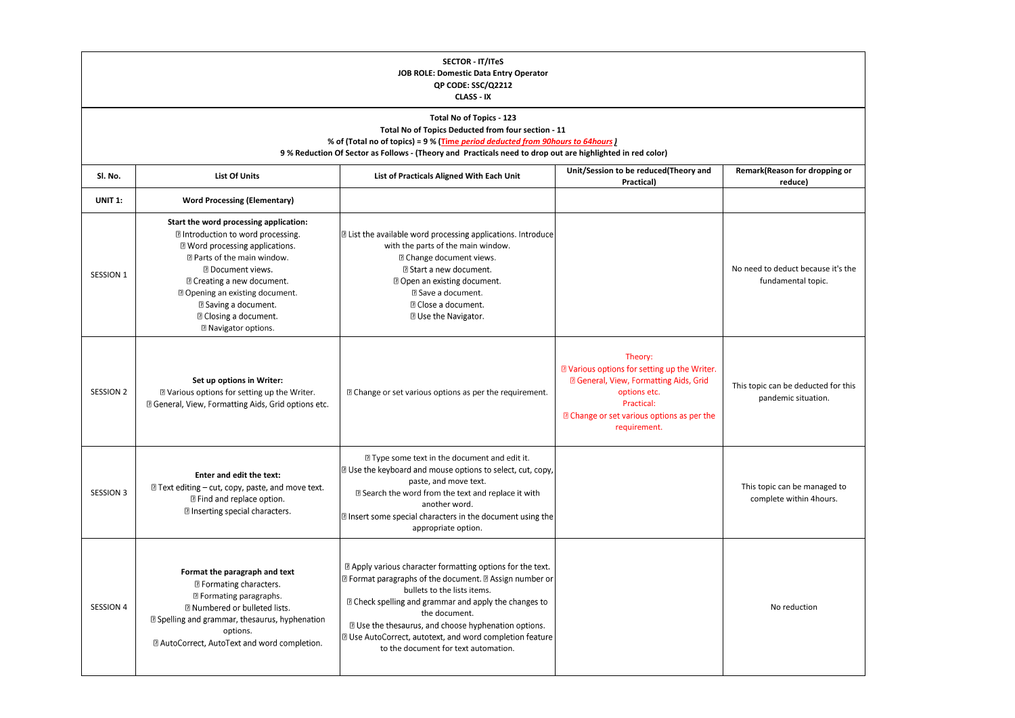| <b>SECTOR - IT/ITeS</b><br>JOB ROLE: Domestic Data Entry Operator<br>QP CODE: SSC/Q2212<br><b>CLASS - IX</b>                                                                                                                                                                   |                                                                                                                                                                                                                                                                                                                                           |                                                                                                                                                                                                                                                                                                                                                                                                          |                                                                                                                                                                                                                   |                                                            |
|--------------------------------------------------------------------------------------------------------------------------------------------------------------------------------------------------------------------------------------------------------------------------------|-------------------------------------------------------------------------------------------------------------------------------------------------------------------------------------------------------------------------------------------------------------------------------------------------------------------------------------------|----------------------------------------------------------------------------------------------------------------------------------------------------------------------------------------------------------------------------------------------------------------------------------------------------------------------------------------------------------------------------------------------------------|-------------------------------------------------------------------------------------------------------------------------------------------------------------------------------------------------------------------|------------------------------------------------------------|
| Total No of Topics - 123<br>Total No of Topics Deducted from four section - 11<br>% of (Total no of topics) = 9 % (Time period deducted from 90hours to 64hours)<br>9 % Reduction Of Sector as Follows - (Theory and Practicals need to drop out are highlighted in red color) |                                                                                                                                                                                                                                                                                                                                           |                                                                                                                                                                                                                                                                                                                                                                                                          |                                                                                                                                                                                                                   |                                                            |
| SI. No.                                                                                                                                                                                                                                                                        | <b>List Of Units</b>                                                                                                                                                                                                                                                                                                                      | List of Practicals Aligned With Each Unit                                                                                                                                                                                                                                                                                                                                                                | Unit/Session to be reduced(Theory and<br>Practical)                                                                                                                                                               | Remark(Reason for dropping or<br>reduce)                   |
| <b>UNIT 1:</b>                                                                                                                                                                                                                                                                 | <b>Word Processing (Elementary)</b>                                                                                                                                                                                                                                                                                                       |                                                                                                                                                                                                                                                                                                                                                                                                          |                                                                                                                                                                                                                   |                                                            |
| SESSION 1                                                                                                                                                                                                                                                                      | Start the word processing application:<br>I Introduction to word processing.<br>XI Word processing applications.<br>I Parts of the main window.<br><b>Document views.</b><br>I Creating a new document.<br><sup>2</sup> Opening an existing document.<br>1 Saving a document.<br>I Closing a document.<br><sup>2</sup> Navigator options. | I List the available word processing applications. Introduce<br>with the parts of the main window.<br>I Change document views.<br><b>D</b> Start a new document.<br>7 Open an existing document.<br><b>Z</b> Save a document.<br>I Close a document.<br>I Use the Navigator.                                                                                                                             |                                                                                                                                                                                                                   | No need to deduct because it's the<br>fundamental topic.   |
| <b>SESSION 2</b>                                                                                                                                                                                                                                                               | Set up options in Writer:<br>2 Various options for setting up the Writer.<br><sup>2</sup> General, View, Formatting Aids, Grid options etc.                                                                                                                                                                                               | I Change or set various options as per the requirement.                                                                                                                                                                                                                                                                                                                                                  | Theory:<br>Xarious options for setting up the Writer.<br><sup>2</sup> General, View, Formatting Aids, Grid<br>options etc.<br>Practical:<br><sup>2</sup> Change or set various options as per the<br>requirement. | This topic can be deducted for this<br>pandemic situation. |
| <b>SESSION 3</b>                                                                                                                                                                                                                                                               | Enter and edit the text:<br><b>n</b> Text editing – cut, copy, paste, and move text.<br>I Find and replace option.<br>I Inserting special characters.                                                                                                                                                                                     | I Type some text in the document and edit it.<br>I Use the keyboard and mouse options to select, cut, copy,<br>paste, and move text.<br>I Search the word from the text and replace it with<br>another word.<br>I Insert some special characters in the document using the<br>appropriate option.                                                                                                        |                                                                                                                                                                                                                   | This topic can be managed to<br>complete within 4hours.    |
| <b>SESSION 4</b>                                                                                                                                                                                                                                                               | Format the paragraph and text<br>I Formating characters.<br><b>D</b> Formating paragraphs.<br><sup>2</sup> Numbered or bulleted lists.<br><sup>2</sup> Spelling and grammar, thesaurus, hyphenation<br>options.<br>2 AutoCorrect, AutoText and word completion.                                                                           | I Apply various character formatting options for the text.<br><b>7</b> Format paragraphs of the document. <b>7</b> Assign number or<br>bullets to the lists items.<br>I Check spelling and grammar and apply the changes to<br>the document.<br>I Use the thesaurus, and choose hyphenation options.<br>I Use AutoCorrect, autotext, and word completion feature<br>to the document for text automation. |                                                                                                                                                                                                                   | No reduction                                               |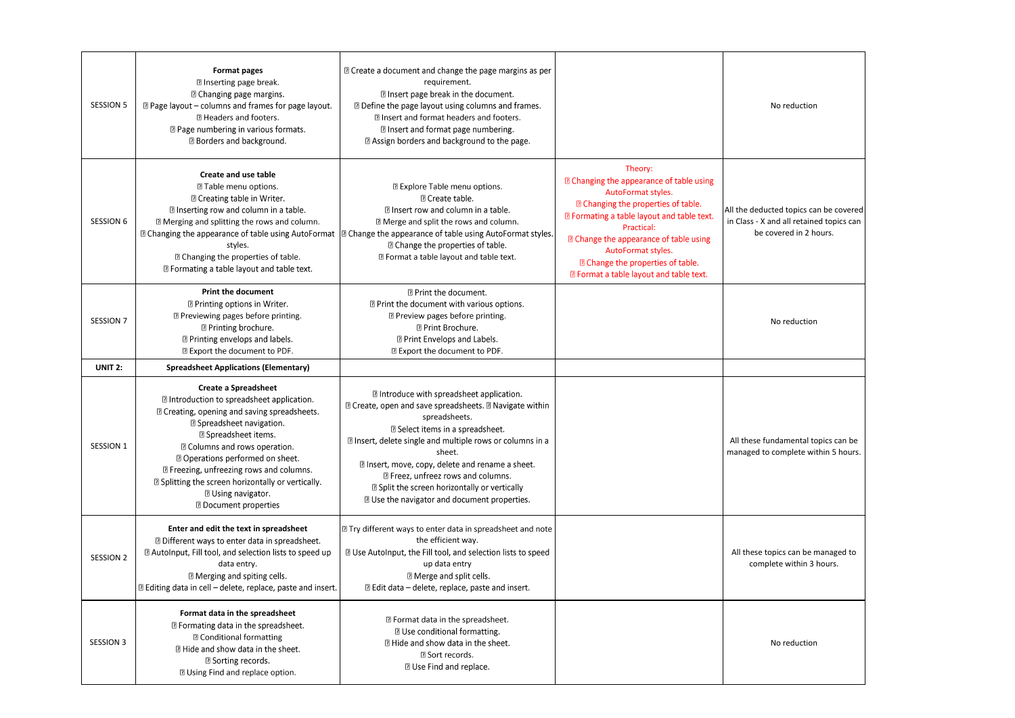| <b>SESSION 5</b>   | <b>Format pages</b><br>I Inserting page break.<br>12 Changing page margins.<br><b>sqrt</b> Page layout – columns and frames for page layout.<br>Il Headers and footers.<br>7 Page numbering in various formats.<br><b>Z</b> Borders and background.                                                                                                                                                                            | 12 Create a document and change the page margins as per<br>requirement.<br>I Insert page break in the document.<br><b>D</b> Define the page layout using columns and frames.<br>I Insert and format headers and footers.<br>I Insert and format page numbering.<br>a Assign borders and background to the page.                                                                                                                      |                                                                                                                                                                                                                                                                                                                                                                                            | No reduction                                                                                                 |
|--------------------|--------------------------------------------------------------------------------------------------------------------------------------------------------------------------------------------------------------------------------------------------------------------------------------------------------------------------------------------------------------------------------------------------------------------------------|--------------------------------------------------------------------------------------------------------------------------------------------------------------------------------------------------------------------------------------------------------------------------------------------------------------------------------------------------------------------------------------------------------------------------------------|--------------------------------------------------------------------------------------------------------------------------------------------------------------------------------------------------------------------------------------------------------------------------------------------------------------------------------------------------------------------------------------------|--------------------------------------------------------------------------------------------------------------|
| SESSION 6          | Create and use table<br>I Table menu options.<br>I Creating table in Writer.<br>I Inserting row and column in a table.<br>17 Merging and splitting the rows and column.<br>styles.<br>I Changing the properties of table.<br>I Formating a table layout and table text.                                                                                                                                                        | <b>D</b> Explore Table menu options.<br><b>D</b> Create table.<br>a Insert row and column in a table.<br>I Merge and split the rows and column.<br><b>If Changing the appearance of table using AutoFormat  If Change the appearance of table using AutoFormat styles.</b><br>I Change the properties of table.<br>I Format a table layout and table text.                                                                           | Theory:<br><sup>2</sup> Changing the appearance of table using<br>AutoFormat styles.<br><sup>2</sup> Changing the properties of table.<br><sup>2</sup> Formating a table layout and table text.<br>Practical:<br><sup>2</sup> Change the appearance of table using<br>AutoFormat styles.<br><sup>2</sup> Change the properties of table.<br><b>D</b> Format a table layout and table text. | All the deducted topics can be covered<br>in Class - X and all retained topics can<br>be covered in 2 hours. |
| SESSION 7          | <b>Print the document</b><br>17 Printing options in Writer.<br><sup>2</sup> Previewing pages before printing.<br><sup>2</sup> Printing brochure.<br>12 Printing envelops and labels.<br>I Export the document to PDF.                                                                                                                                                                                                          | <sup>2</sup> Print the document.<br><b>I</b> Print the document with various options.<br>12 Preview pages before printing.<br><b>D</b> Print Brochure.<br><b>D</b> Print Envelops and Labels.<br>I Export the document to PDF.                                                                                                                                                                                                       |                                                                                                                                                                                                                                                                                                                                                                                            | No reduction                                                                                                 |
| UNIT <sub>2:</sub> | <b>Spreadsheet Applications (Elementary)</b>                                                                                                                                                                                                                                                                                                                                                                                   |                                                                                                                                                                                                                                                                                                                                                                                                                                      |                                                                                                                                                                                                                                                                                                                                                                                            |                                                                                                              |
| SESSION 1          | <b>Create a Spreadsheet</b><br>I Introduction to spreadsheet application.<br>I Creating, opening and saving spreadsheets.<br><sup>2</sup> Spreadsheet navigation.<br>I Spreadsheet items.<br>I Columns and rows operation.<br>7 Operations performed on sheet.<br>12 Freezing, unfreezing rows and columns.<br><b>D</b> Splitting the screen horizontally or vertically.<br>I Using navigator.<br><b>D</b> Document properties | I Introduce with spreadsheet application.<br>17 Create, open and save spreadsheets. 17 Navigate within<br>spreadsheets.<br>I Select items in a spreadsheet.<br>I Insert, delete single and multiple rows or columns in a<br>sheet.<br>I Insert, move, copy, delete and rename a sheet.<br>I Freez, unfreez rows and columns.<br><b>Z</b> Split the screen horizontally or vertically<br>I Use the navigator and document properties. |                                                                                                                                                                                                                                                                                                                                                                                            | All these fundamental topics can be<br>managed to complete within 5 hours.                                   |
| <b>SESSION 2</b>   | Enter and edit the text in spreadsheet<br>17 Different ways to enter data in spreadsheet.<br>a AutoInput, Fill tool, and selection lists to speed up<br>data entry.<br>12 Merging and spiting cells.<br>I Editing data in cell - delete, replace, paste and insert.                                                                                                                                                            | I Try different ways to enter data in spreadsheet and note<br>the efficient way.<br>7 Use AutoInput, the Fill tool, and selection lists to speed<br>up data entry<br>17 Merge and split cells.<br>■ Edit data – delete, replace, paste and insert.                                                                                                                                                                                   |                                                                                                                                                                                                                                                                                                                                                                                            | All these topics can be managed to<br>complete within 3 hours.                                               |
| SESSION 3          | Format data in the spreadsheet<br><sup>2</sup> Formating data in the spreadsheet.<br><b>Z</b> Conditional formatting<br>I Hide and show data in the sheet.<br><b>Z</b> Sorting records.<br><b>D</b> Using Find and replace option.                                                                                                                                                                                             | I Format data in the spreadsheet.<br>I Use conditional formatting.<br>I Hide and show data in the sheet.<br><b>R</b> Sort records.<br>I Use Find and replace.                                                                                                                                                                                                                                                                        |                                                                                                                                                                                                                                                                                                                                                                                            | No reduction                                                                                                 |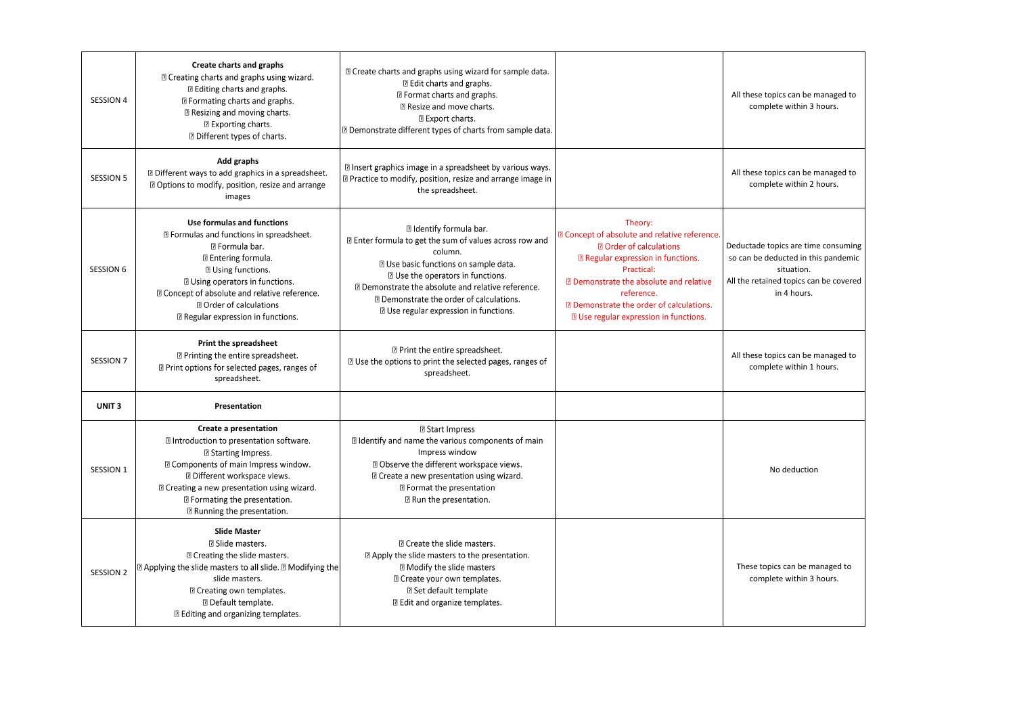| SESSION 4         | Create charts and graphs<br><sup>2</sup> Creating charts and graphs using wizard.<br>I Editing charts and graphs.<br><b>D</b> Formating charts and graphs.<br><b>Z</b> Resizing and moving charts.<br><b>Z</b> Exporting charts.<br>D Different types of charts.                                                                                | <sup>2</sup> Create charts and graphs using wizard for sample data.<br>I Edit charts and graphs.<br><b>D</b> Format charts and graphs.<br>I Resize and move charts.<br><b>Z</b> Export charts.<br>I Demonstrate different types of charts from sample data.                                                                                |                                                                                                                                                                                                                                                                                                                                            | All these topics can be managed to<br>complete within 3 hours.                                                                                    |
|-------------------|-------------------------------------------------------------------------------------------------------------------------------------------------------------------------------------------------------------------------------------------------------------------------------------------------------------------------------------------------|--------------------------------------------------------------------------------------------------------------------------------------------------------------------------------------------------------------------------------------------------------------------------------------------------------------------------------------------|--------------------------------------------------------------------------------------------------------------------------------------------------------------------------------------------------------------------------------------------------------------------------------------------------------------------------------------------|---------------------------------------------------------------------------------------------------------------------------------------------------|
| <b>SESSION 5</b>  | Add graphs<br><sup>2</sup> Different ways to add graphics in a spreadsheet.<br><sup>2</sup> Options to modify, position, resize and arrange<br>images                                                                                                                                                                                           | I Insert graphics image in a spreadsheet by various ways.<br>12 Practice to modify, position, resize and arrange image in<br>the spreadsheet.                                                                                                                                                                                              |                                                                                                                                                                                                                                                                                                                                            | All these topics can be managed to<br>complete within 2 hours.                                                                                    |
| <b>SESSION 6</b>  | Use formulas and functions<br><b>I</b> Formulas and functions in spreadsheet.<br><b>I</b> Formula bar.<br>I Entering formula.<br><b>7</b> Using functions.<br><b>D</b> Using operators in functions.<br><b>D</b> Concept of absolute and relative reference.<br><b>D</b> Order of calculations<br><sup>1</sup> Regular expression in functions. | I Identify formula bar.<br>I Enter formula to get the sum of values across row and<br>column.<br>I Use basic functions on sample data.<br>I Use the operators in functions.<br><b>D</b> Demonstrate the absolute and relative reference.<br><b>Demonstrate the order of calculations.</b><br><b>D</b> Use regular expression in functions. | Theory:<br><sup>2</sup> Concept of absolute and relative reference.<br><b>D</b> Order of calculations<br><b>Regular expression in functions.</b><br>Practical:<br><sup>2</sup> Demonstrate the absolute and relative<br>reference.<br><sup>2</sup> Demonstrate the order of calculations.<br><b>D</b> Use regular expression in functions. | Deductade topics are time consuming<br>so can be deducted in this pandemic<br>situation.<br>All the retained topics can be covered<br>in 4 hours. |
| SESSION 7         | Print the spreadsheet<br>17 Printing the entire spreadsheet.<br><sup>1</sup> Print options for selected pages, ranges of<br>spreadsheet.                                                                                                                                                                                                        | <b>D</b> Print the entire spreadsheet.<br>I Use the options to print the selected pages, ranges of<br>spreadsheet.                                                                                                                                                                                                                         |                                                                                                                                                                                                                                                                                                                                            | All these topics can be managed to<br>complete within 1 hours.                                                                                    |
| UNIT <sub>3</sub> | Presentation                                                                                                                                                                                                                                                                                                                                    |                                                                                                                                                                                                                                                                                                                                            |                                                                                                                                                                                                                                                                                                                                            |                                                                                                                                                   |
| <b>SESSION 1</b>  | Create a presentation<br>I Introduction to presentation software.<br><b>D</b> Starting Impress.<br>I Components of main Impress window.<br>D Different workspace views.<br><sup>2</sup> Creating a new presentation using wizard.<br><b><i>R</i></b> Formating the presentation.<br><b>Z</b> Running the presentation.                          | <b>2</b> Start Impress<br>I Identify and name the various components of main<br>Impress window<br>I Observe the different workspace views.<br><sup>2</sup> Create a new presentation using wizard.<br><b>Ⅱ Format the presentation</b><br><b>Run the presentation.</b>                                                                     |                                                                                                                                                                                                                                                                                                                                            | No deduction                                                                                                                                      |
| <b>SESSION 2</b>  | <b>Slide Master</b><br><b>R</b> Slide masters.<br>I Creating the slide masters.<br>7 Applying the slide masters to all slide. 7 Modifying the<br>slide masters.<br>I Creating own templates.<br><sup>1</sup> Default template.<br><b>D</b> Editing and organizing templates.                                                                    | <b>R</b> Create the slide masters.<br><sup>2</sup> Apply the slide masters to the presentation.<br>I Modify the slide masters<br>I Create your own templates.<br><b>D</b> Set default template<br>I Edit and organize templates.                                                                                                           |                                                                                                                                                                                                                                                                                                                                            | These topics can be managed to<br>complete within 3 hours.                                                                                        |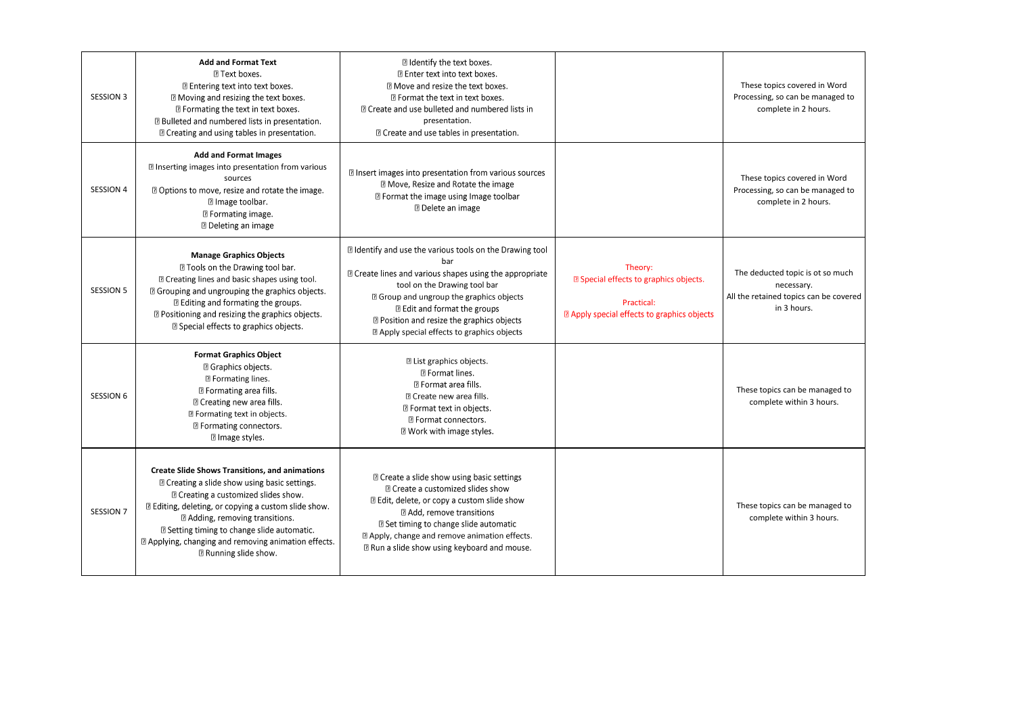| <b>SESSION 3</b> | <b>Add and Format Text</b><br><b>7 Text boxes.</b><br><b>I</b> Entering text into text boxes.<br>I Moving and resizing the text boxes.<br>I Formating the text in text boxes.<br><b>D</b> Bulleted and numbered lists in presentation.<br>12 Creating and using tables in presentation.                                                                                              | I Identify the text boxes.<br><b>图 Enter text into text boxes.</b><br>I Move and resize the text boxes.<br>I Format the text in text boxes.<br><b>D</b> Create and use bulleted and numbered lists in<br>presentation.<br><sup>2</sup> Create and use tables in presentation.                                                                       |                                                                                                                              | These topics covered in Word<br>Processing, so can be managed to<br>complete in 2 hours.                |
|------------------|--------------------------------------------------------------------------------------------------------------------------------------------------------------------------------------------------------------------------------------------------------------------------------------------------------------------------------------------------------------------------------------|-----------------------------------------------------------------------------------------------------------------------------------------------------------------------------------------------------------------------------------------------------------------------------------------------------------------------------------------------------|------------------------------------------------------------------------------------------------------------------------------|---------------------------------------------------------------------------------------------------------|
| <b>SESSION 4</b> | <b>Add and Format Images</b><br><b>I</b> Inserting images into presentation from various<br>sources<br>■ Options to move, resize and rotate the image.<br>I Image toolbar.<br>I Formating image.<br><b>D</b> Deleting an image                                                                                                                                                       | <b>Illnsert images into presentation from various sources</b><br>7 Move, Resize and Rotate the image<br><b>I</b> Format the image using Image toolbar<br><b>D</b> Delete an image                                                                                                                                                                   |                                                                                                                              | These topics covered in Word<br>Processing, so can be managed to<br>complete in 2 hours.                |
| <b>SESSION 5</b> | <b>Manage Graphics Objects</b><br><b>I Tools on the Drawing tool bar.</b><br><sup>2</sup> Creating lines and basic shapes using tool.<br>I Grouping and ungrouping the graphics objects.<br>I Editing and formating the groups.<br><sup>2</sup> Positioning and resizing the graphics objects.<br><b>D</b> Special effects to graphics objects.                                      | I Identify and use the various tools on the Drawing tool<br>bar<br>X Create lines and various shapes using the appropriate<br>tool on the Drawing tool bar<br><sup>2</sup> Group and ungroup the graphics objects<br>I Edit and format the groups<br><b>Position and resize the graphics objects</b><br>a Apply special effects to graphics objects | Theory:<br><b>D</b> Special effects to graphics objects.<br>Practical:<br><b>D</b> Apply special effects to graphics objects | The deducted topic is ot so much<br>necessary.<br>All the retained topics can be covered<br>in 3 hours. |
| <b>SESSION 6</b> | <b>Format Graphics Object</b><br>I Graphics objects.<br><b>D</b> Formating lines.<br>I Formating area fills.<br>I Creating new area fills.<br><b><i>R</i></b> Formating text in objects.<br><sup>2</sup> Formating connectors.<br>I Image styles.                                                                                                                                    | I List graphics objects.<br><b>2 Format lines.</b><br><b>D</b> Format area fills.<br><sup>1</sup> Create new area fills.<br><b>D</b> Format text in objects.<br><b>D</b> Format connectors.<br>I Work with image styles.                                                                                                                            |                                                                                                                              | These topics can be managed to<br>complete within 3 hours.                                              |
| <b>SESSION 7</b> | <b>Create Slide Shows Transitions, and animations</b><br><sup>1</sup> Creating a slide show using basic settings.<br>I Creating a customized slides show.<br>I Editing, deleting, or copying a custom slide show.<br>a Adding, removing transitions.<br>2 Setting timing to change slide automatic.<br>a Applying, changing and removing animation effects.<br>I Running slide show. | <b>D</b> Create a slide show using basic settings<br>I Create a customized slides show<br>I Edit, delete, or copy a custom slide show<br>a Add. remove transitions<br><b>If</b> Set timing to change slide automatic<br>a Apply, change and remove animation effects.<br><b>If</b> Run a slide show using keyboard and mouse.                       |                                                                                                                              | These topics can be managed to<br>complete within 3 hours.                                              |